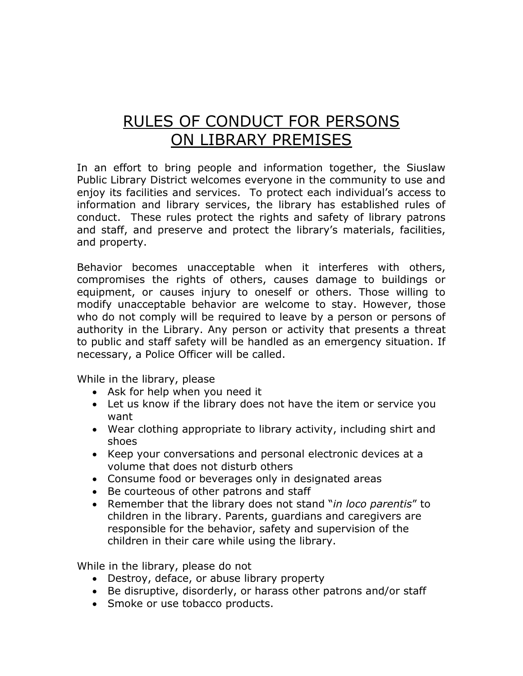## RULES OF CONDUCT FOR PERSONS ON LIBRARY PREMISES

In an effort to bring people and information together, the Siuslaw Public Library District welcomes everyone in the community to use and enjoy its facilities and services. To protect each individual's access to information and library services, the library has established rules of conduct. These rules protect the rights and safety of library patrons and staff, and preserve and protect the library's materials, facilities, and property.

Behavior becomes unacceptable when it interferes with others, compromises the rights of others, causes damage to buildings or equipment, or causes injury to oneself or others. Those willing to modify unacceptable behavior are welcome to stay. However, those who do not comply will be required to leave by a person or persons of authority in the Library. Any person or activity that presents a threat to public and staff safety will be handled as an emergency situation. If necessary, a Police Officer will be called.

While in the library, please

- Ask for help when you need it
- Let us know if the library does not have the item or service you want
- Wear clothing appropriate to library activity, including shirt and shoes
- Keep your conversations and personal electronic devices at a volume that does not disturb others
- Consume food or beverages only in designated areas
- Be courteous of other patrons and staff
- Remember that the library does not stand "*in loco parentis*" to children in the library. Parents, guardians and caregivers are responsible for the behavior, safety and supervision of the children in their care while using the library.

While in the library, please do not

- Destroy, deface, or abuse library property
- Be disruptive, disorderly, or harass other patrons and/or staff
- Smoke or use tobacco products.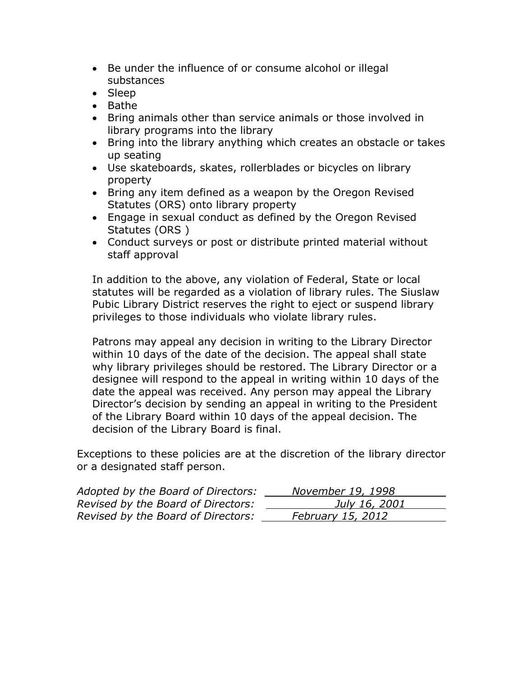- Be under the influence of or consume alcohol or illegal substances
- Sleep
- $\bullet$  Bathe
- Bring animals other than service animals or those involved in library programs into the library
- Bring into the library anything which creates an obstacle or takes up seating
- Use skateboards, skates, rollerblades or bicycles on library property
- Bring any item defined as a weapon by the Oregon Revised Statutes (ORS) onto library property
- Engage in sexual conduct as defined by the Oregon Revised Statutes (ORS )
- Conduct surveys or post or distribute printed material without staff approval

In addition to the above, any violation of Federal, State or local statutes will be regarded as a violation of library rules. The Siuslaw Pubic Library District reserves the right to eject or suspend library privileges to those individuals who violate library rules.

Patrons may appeal any decision in writing to the Library Director within 10 days of the date of the decision. The appeal shall state why library privileges should be restored. The Library Director or a designee will respond to the appeal in writing within 10 days of the date the appeal was received. Any person may appeal the Library Director's decision by sending an appeal in writing to the President of the Library Board within 10 days of the appeal decision. The decision of the Library Board is final.

Exceptions to these policies are at the discretion of the library director or a designated staff person.

| Adopted by the Board of Directors: | November 19, 1998 |
|------------------------------------|-------------------|
| Revised by the Board of Directors: | July 16, 2001     |
| Revised by the Board of Directors: | February 15, 2012 |